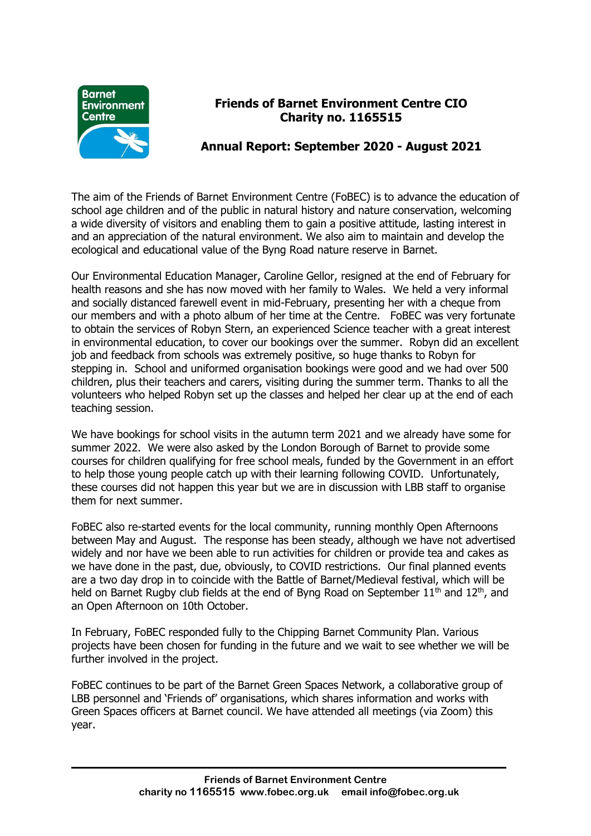

## **Friends of Barnet Environment Centre CIO Charity no. 1165515**

## **Annual Report: September 2020 - August 2021**

The aim of the Friends of Barnet Environment Centre (FoBEC) is to advance the education of school age children and of the public in natural history and nature conservation, welcoming a wide diversity of visitors and enabling them to gain a positive attitude, lasting interest in and an appreciation of the natural environment. We also aim to maintain and develop the ecological and educational value of the Byng Road nature reserve in Barnet.

Our Environmental Education Manager, Caroline Gellor, resigned at the end of February for health reasons and she has now moved with her family to Wales. We held a very informal and socially distanced farewell event in mid-February, presenting her with a cheque from our members and with a photo album of her time at the Centre. FoBEC was very fortunate to obtain the services of Robyn Stern, an experienced Science teacher with a great interest in environmental education, to cover our bookings over the summer. Robyn did an excellent job and feedback from schools was extremely positive, so huge thanks to Robyn for stepping in. School and uniformed organisation bookings were good and we had over 500 children, plus their teachers and carers, visiting during the summer term. Thanks to all the volunteers who helped Robyn set up the classes and helped her clear up at the end of each teaching session.

We have bookings for school visits in the autumn term 2021 and we already have some for summer 2022. We were also asked by the London Borough of Barnet to provide some courses for children qualifying for free school meals, funded by the Government in an effort to help those young people catch up with their learning following COVID. Unfortunately, these courses did not happen this year but we are in discussion with LBB staff to organise them for next summer.

FoBEC also re-started events for the local community, running monthly Open Afternoons between May and August. The response has been steady, although we have not advertised widely and nor have we been able to run activities for children or provide tea and cakes as we have done in the past, due, obviously, to COVID restrictions. Our final planned events are a two day drop in to coincide with the Battle of Barnet/Medieval festival, which will be held on Barnet Rugby club fields at the end of Byng Road on September  $11<sup>th</sup>$  and  $12<sup>th</sup>$ , and an Open Afternoon on 10th October.

In February, FoBEC responded fully to the Chipping Barnet Community Plan. Various projects have been chosen for funding in the future and we wait to see whether we will be further involved in the project.

FoBEC continues to be part of the Barnet Green Spaces Network, a collaborative group of LBB personnel and 'Friends of' organisations, which shares information and works with Green Spaces officers at Barnet council. We have attended all meetings (via Zoom) this year.